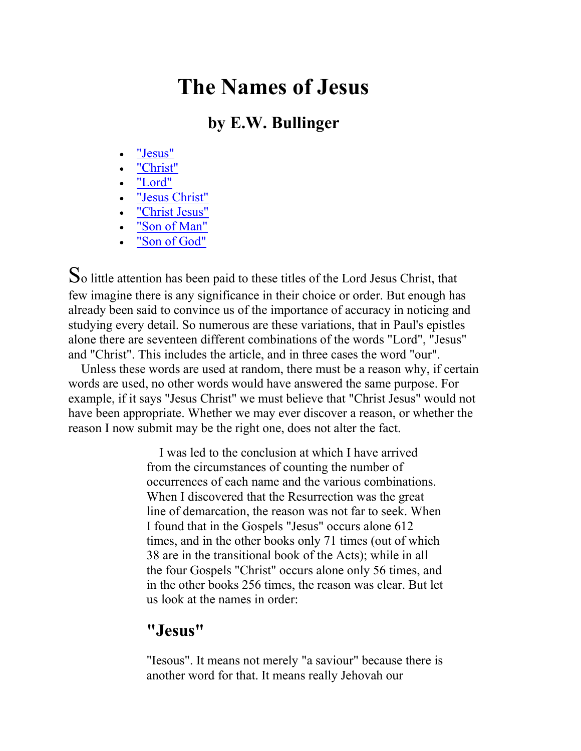# The Names of Jesus

## by E.W. Bullinger

- "Jesus"
- "Christ"
- "Lord"
- "Jesus Christ"
- "Christ Jesus"
- "Son of Man"
- "Son of God"

So little attention has been paid to these titles of the Lord Jesus Christ, that few imagine there is any significance in their choice or order. But enough has already been said to convince us of the importance of accuracy in noticing and studying every detail. So numerous are these variations, that in Paul's epistles alone there are seventeen different combinations of the words "Lord", "Jesus" and "Christ". This includes the article, and in three cases the word "our".

 Unless these words are used at random, there must be a reason why, if certain words are used, no other words would have answered the same purpose. For example, if it says "Jesus Christ" we must believe that "Christ Jesus" would not have been appropriate. Whether we may ever discover a reason, or whether the reason I now submit may be the right one, does not alter the fact.

> I was led to the conclusion at which I have arrived from the circumstances of counting the number of occurrences of each name and the various combinations. When I discovered that the Resurrection was the great line of demarcation, the reason was not far to seek. When I found that in the Gospels "Jesus" occurs alone 612 times, and in the other books only 71 times (out of which 38 are in the transitional book of the Acts); while in all the four Gospels "Christ" occurs alone only 56 times, and in the other books 256 times, the reason was clear. But let us look at the names in order:

#### "Jesus"

"Iesous". It means not merely "a saviour" because there is another word for that. It means really Jehovah our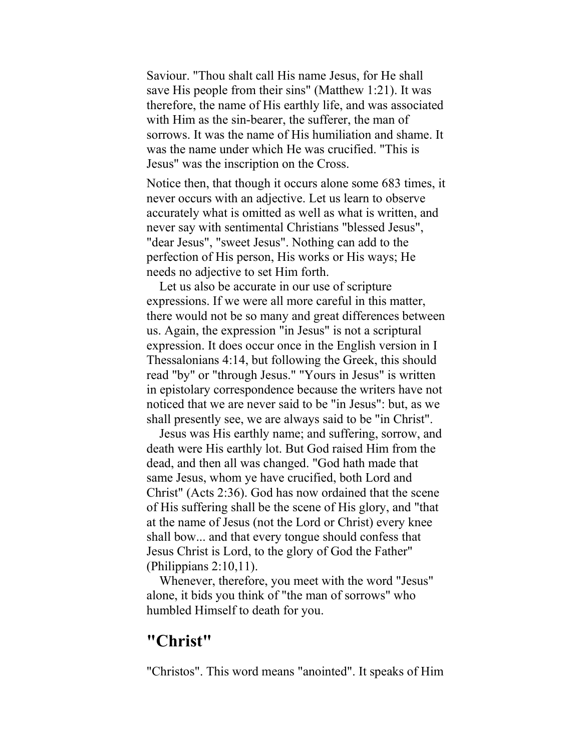Saviour. "Thou shalt call His name Jesus, for He shall save His people from their sins" (Matthew 1:21). It was therefore, the name of His earthly life, and was associated with Him as the sin-bearer, the sufferer, the man of sorrows. It was the name of His humiliation and shame. It was the name under which He was crucified. "This is Jesus" was the inscription on the Cross.

Notice then, that though it occurs alone some 683 times, it never occurs with an adjective. Let us learn to observe accurately what is omitted as well as what is written, and never say with sentimental Christians "blessed Jesus", "dear Jesus", "sweet Jesus". Nothing can add to the perfection of His person, His works or His ways; He needs no adjective to set Him forth.

 Let us also be accurate in our use of scripture expressions. If we were all more careful in this matter, there would not be so many and great differences between us. Again, the expression "in Jesus" is not a scriptural expression. It does occur once in the English version in I Thessalonians 4:14, but following the Greek, this should read "by" or "through Jesus." "Yours in Jesus" is written in epistolary correspondence because the writers have not noticed that we are never said to be "in Jesus": but, as we shall presently see, we are always said to be "in Christ".

 Jesus was His earthly name; and suffering, sorrow, and death were His earthly lot. But God raised Him from the dead, and then all was changed. "God hath made that same Jesus, whom ye have crucified, both Lord and Christ" (Acts 2:36). God has now ordained that the scene of His suffering shall be the scene of His glory, and "that at the name of Jesus (not the Lord or Christ) every knee shall bow... and that every tongue should confess that Jesus Christ is Lord, to the glory of God the Father" (Philippians 2:10,11).

 Whenever, therefore, you meet with the word "Jesus" alone, it bids you think of "the man of sorrows" who humbled Himself to death for you.

#### "Christ"

"Christos". This word means "anointed". It speaks of Him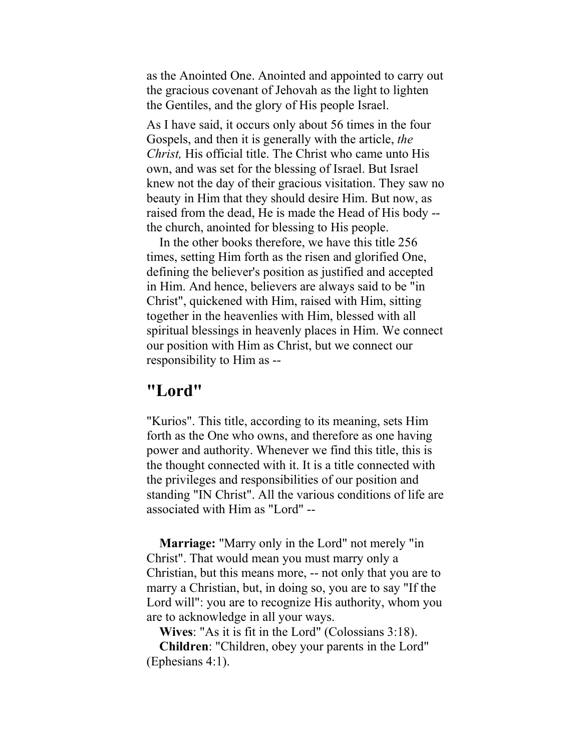as the Anointed One. Anointed and appointed to carry out the gracious covenant of Jehovah as the light to lighten the Gentiles, and the glory of His people Israel.

As I have said, it occurs only about 56 times in the four Gospels, and then it is generally with the article, the Christ, His official title. The Christ who came unto His own, and was set for the blessing of Israel. But Israel knew not the day of their gracious visitation. They saw no beauty in Him that they should desire Him. But now, as raised from the dead, He is made the Head of His body - the church, anointed for blessing to His people.

 In the other books therefore, we have this title 256 times, setting Him forth as the risen and glorified One, defining the believer's position as justified and accepted in Him. And hence, believers are always said to be "in Christ", quickened with Him, raised with Him, sitting together in the heavenlies with Him, blessed with all spiritual blessings in heavenly places in Him. We connect our position with Him as Christ, but we connect our responsibility to Him as --

#### "Lord"

"Kurios". This title, according to its meaning, sets Him forth as the One who owns, and therefore as one having power and authority. Whenever we find this title, this is the thought connected with it. It is a title connected with the privileges and responsibilities of our position and standing "IN Christ". All the various conditions of life are associated with Him as "Lord" --

 Marriage: "Marry only in the Lord" not merely "in Christ". That would mean you must marry only a Christian, but this means more, -- not only that you are to marry a Christian, but, in doing so, you are to say "If the Lord will": you are to recognize His authority, whom you are to acknowledge in all your ways.

Wives: "As it is fit in the Lord" (Colossians 3:18).

 Children: "Children, obey your parents in the Lord" (Ephesians 4:1).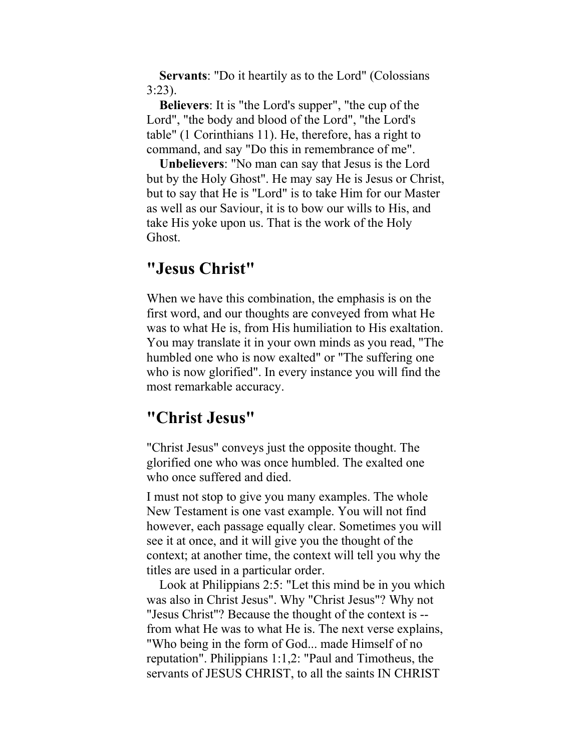Servants: "Do it heartily as to the Lord" (Colossians 3:23).

 Believers: It is "the Lord's supper", "the cup of the Lord", "the body and blood of the Lord", "the Lord's table" (1 Corinthians 11). He, therefore, has a right to command, and say "Do this in remembrance of me".

 Unbelievers: "No man can say that Jesus is the Lord but by the Holy Ghost". He may say He is Jesus or Christ, but to say that He is "Lord" is to take Him for our Master as well as our Saviour, it is to bow our wills to His, and take His yoke upon us. That is the work of the Holy Ghost.

#### "Jesus Christ"

When we have this combination, the emphasis is on the first word, and our thoughts are conveyed from what He was to what He is, from His humiliation to His exaltation. You may translate it in your own minds as you read, "The humbled one who is now exalted" or "The suffering one who is now glorified". In every instance you will find the most remarkable accuracy.

#### "Christ Jesus"

"Christ Jesus" conveys just the opposite thought. The glorified one who was once humbled. The exalted one who once suffered and died.

I must not stop to give you many examples. The whole New Testament is one vast example. You will not find however, each passage equally clear. Sometimes you will see it at once, and it will give you the thought of the context; at another time, the context will tell you why the titles are used in a particular order.

 Look at Philippians 2:5: "Let this mind be in you which was also in Christ Jesus". Why "Christ Jesus"? Why not "Jesus Christ"? Because the thought of the context is - from what He was to what He is. The next verse explains, "Who being in the form of God... made Himself of no reputation". Philippians 1:1,2: "Paul and Timotheus, the servants of JESUS CHRIST, to all the saints IN CHRIST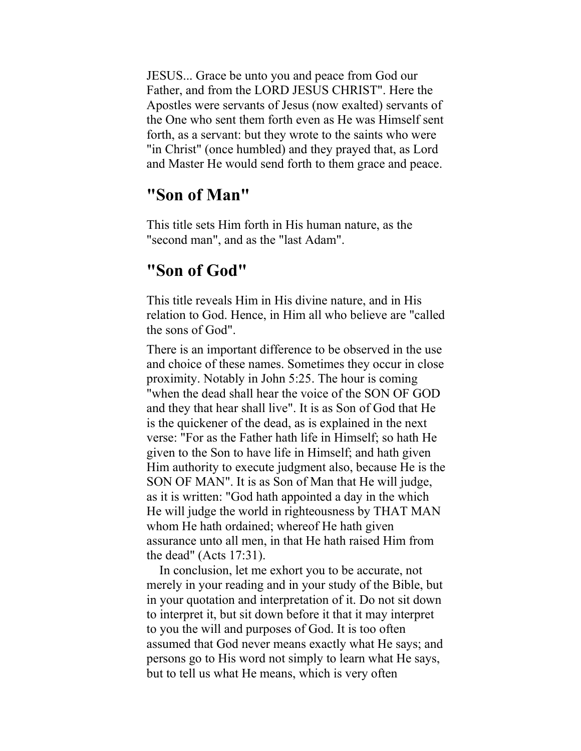JESUS... Grace be unto you and peace from God our Father, and from the LORD JESUS CHRIST". Here the Apostles were servants of Jesus (now exalted) servants of the One who sent them forth even as He was Himself sent forth, as a servant: but they wrote to the saints who were "in Christ" (once humbled) and they prayed that, as Lord and Master He would send forth to them grace and peace.

#### "Son of Man"

This title sets Him forth in His human nature, as the "second man", and as the "last Adam".

### "Son of God"

This title reveals Him in His divine nature, and in His relation to God. Hence, in Him all who believe are "called the sons of God".

There is an important difference to be observed in the use and choice of these names. Sometimes they occur in close proximity. Notably in John 5:25. The hour is coming "when the dead shall hear the voice of the SON OF GOD and they that hear shall live". It is as Son of God that He is the quickener of the dead, as is explained in the next verse: "For as the Father hath life in Himself; so hath He given to the Son to have life in Himself; and hath given Him authority to execute judgment also, because He is the SON OF MAN". It is as Son of Man that He will judge, as it is written: "God hath appointed a day in the which He will judge the world in righteousness by THAT MAN whom He hath ordained; whereof He hath given assurance unto all men, in that He hath raised Him from the dead" (Acts 17:31).

 In conclusion, let me exhort you to be accurate, not merely in your reading and in your study of the Bible, but in your quotation and interpretation of it. Do not sit down to interpret it, but sit down before it that it may interpret to you the will and purposes of God. It is too often assumed that God never means exactly what He says; and persons go to His word not simply to learn what He says, but to tell us what He means, which is very often